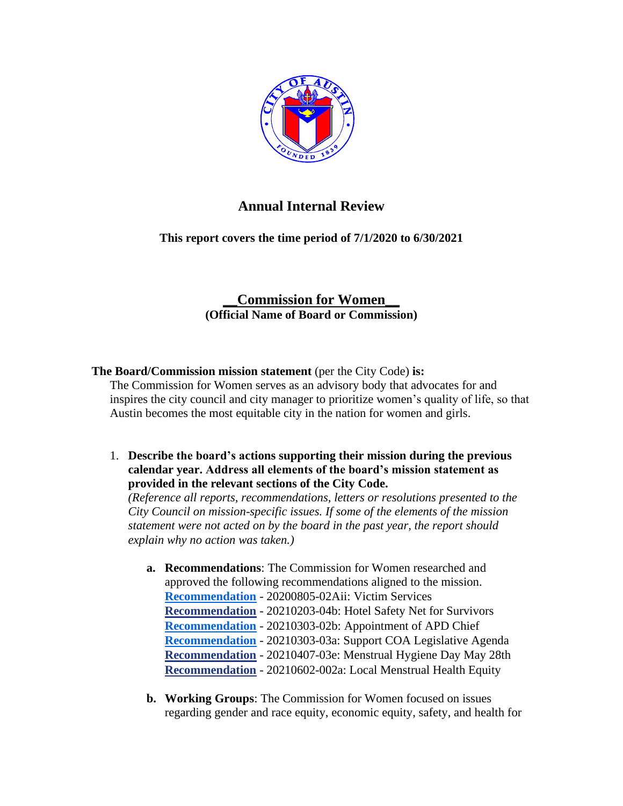

# **Annual Internal Review**

**This report covers the time period of 7/1/2020 to 6/30/2021**

## **\_\_Commission for Women\_\_ (Official Name of Board or Commission)**

## **The Board/Commission mission statement** (per the City Code) **is:**

The Commission for Women serves as an advisory body that advocates for and inspires the city council and city manager to prioritize women's quality of life, so that Austin becomes the most equitable city in the nation for women and girls.

1. **Describe the board's actions supporting their mission during the previous calendar year. Address all elements of the board's mission statement as provided in the relevant sections of the City Code.** 

*(Reference all reports, recommendations, letters or resolutions presented to the City Council on mission-specific issues. If some of the elements of the mission statement were not acted on by the board in the past year, the report should explain why no action was taken.)*

- **a. Recommendations**: The Commission for Women researched and approved the following recommendations aligned to the mission. **[Recommendation](http://www.austintexas.gov/edims/document.cfm?id=344912)** - 20200805-02Aii: Victim Services **[Recommendation](http://www.austintexas.gov/edims/document.cfm?id=356672)** - 20210203-04b: Hotel Safety Net for Survivors **[Recommendation](http://www.austintexas.gov/edims/document.cfm?id=356674)** - 20210303-02b: Appointment of APD Chief **[Recommendation](http://www.austintexas.gov/edims/document.cfm?id=356675)** - 20210303-03a: Support COA Legislative Agenda **[Recommendation](http://www.austintexas.gov/edims/document.cfm?id=358149)** - 20210407-03e: Menstrual Hygiene Day May 28th **[Recommendation](http://www.austintexas.gov/edims/document.cfm?id=364049)** - 20210602-002a: Local Menstrual Health Equity
- **b. Working Groups**: The Commission for Women focused on issues regarding gender and race equity, economic equity, safety, and health for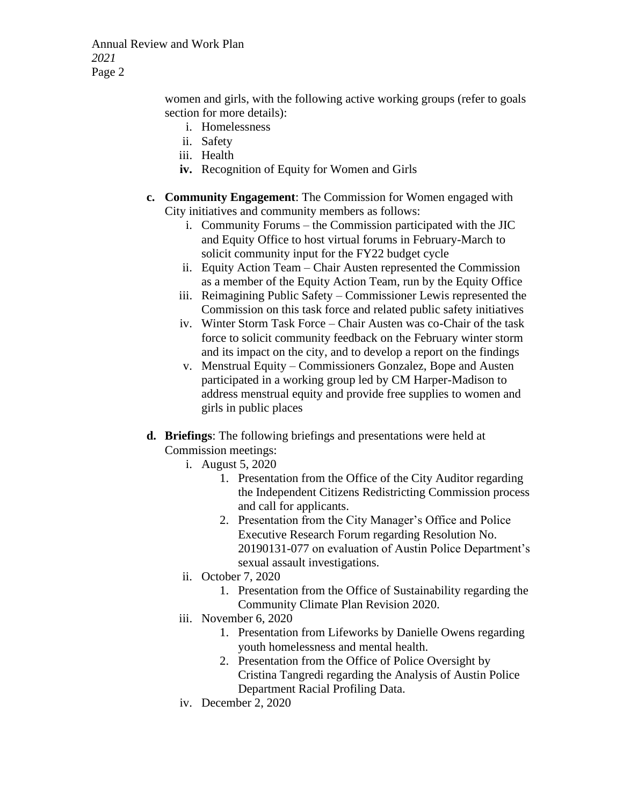Annual Review and Work Plan *2021* Page 2

> women and girls, with the following active working groups (refer to goals section for more details):

- i. Homelessness
- ii. Safety
- iii. Health
- **iv.** Recognition of Equity for Women and Girls
- **c. Community Engagement**: The Commission for Women engaged with City initiatives and community members as follows:
	- i. Community Forums the Commission participated with the JIC and Equity Office to host virtual forums in February-March to solicit community input for the FY22 budget cycle
	- ii. Equity Action Team Chair Austen represented the Commission as a member of the Equity Action Team, run by the Equity Office
	- iii. Reimagining Public Safety Commissioner Lewis represented the Commission on this task force and related public safety initiatives
	- iv. Winter Storm Task Force Chair Austen was co-Chair of the task force to solicit community feedback on the February winter storm and its impact on the city, and to develop a report on the findings
	- v. Menstrual Equity Commissioners Gonzalez, Bope and Austen participated in a working group led by CM Harper-Madison to address menstrual equity and provide free supplies to women and girls in public places
- **d. Briefings**: The following briefings and presentations were held at Commission meetings:
	- i. August 5, 2020
		- 1. Presentation from the Office of the City Auditor regarding the Independent Citizens Redistricting Commission process and call for applicants.
		- 2. Presentation from the City Manager's Office and Police Executive Research Forum regarding Resolution No. 20190131-077 on evaluation of Austin Police Department's sexual assault investigations.
	- ii. October 7, 2020
		- 1. Presentation from the Office of Sustainability regarding the Community Climate Plan Revision 2020.
	- iii. November 6, 2020
		- 1. Presentation from Lifeworks by Danielle Owens regarding youth homelessness and mental health.
		- 2. Presentation from the Office of Police Oversight by Cristina Tangredi regarding the Analysis of Austin Police Department Racial Profiling Data.
	- iv. December 2, 2020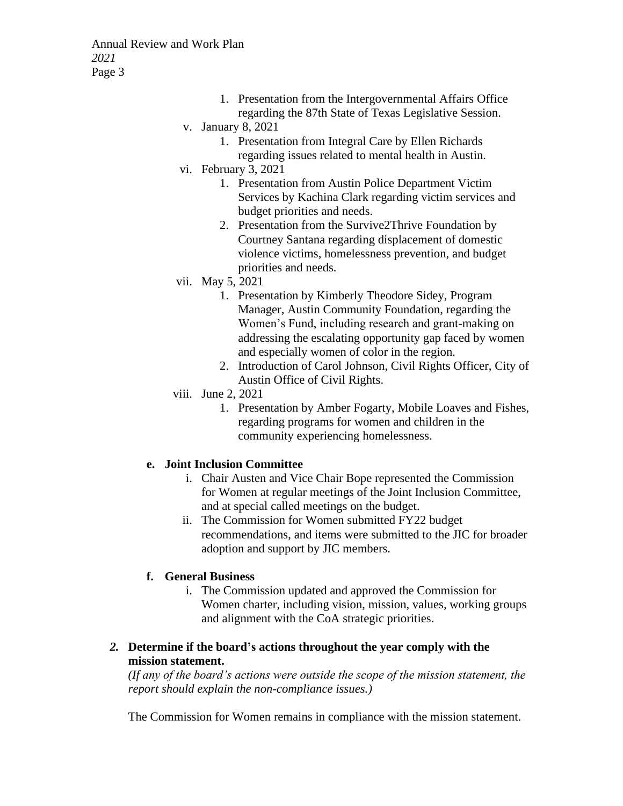Annual Review and Work Plan *2021* Page 3

- 1. Presentation from the Intergovernmental Affairs Office regarding the 87th State of Texas Legislative Session.
- v. January 8, 2021
	- 1. Presentation from Integral Care by Ellen Richards regarding issues related to mental health in Austin.
- vi. February 3, 2021
	- 1. Presentation from Austin Police Department Victim Services by Kachina Clark regarding victim services and budget priorities and needs.
	- 2. Presentation from the Survive2Thrive Foundation by Courtney Santana regarding displacement of domestic violence victims, homelessness prevention, and budget priorities and needs.
- vii. May 5, 2021
	- 1. Presentation by Kimberly Theodore Sidey, Program Manager, Austin Community Foundation, regarding the Women's Fund, including research and grant-making on addressing the escalating opportunity gap faced by women and especially women of color in the region.
	- 2. Introduction of Carol Johnson, Civil Rights Officer, City of Austin Office of Civil Rights.
- viii. June 2, 2021
	- 1. Presentation by Amber Fogarty, Mobile Loaves and Fishes, regarding programs for women and children in the community experiencing homelessness.

#### **e. Joint Inclusion Committee**

- i. Chair Austen and Vice Chair Bope represented the Commission for Women at regular meetings of the Joint Inclusion Committee, and at special called meetings on the budget.
- ii. The Commission for Women submitted FY22 budget recommendations, and items were submitted to the JIC for broader adoption and support by JIC members.

## **f. General Business**

- i. The Commission updated and approved the Commission for Women charter, including vision, mission, values, working groups and alignment with the CoA strategic priorities.
- *2.* **Determine if the board's actions throughout the year comply with the mission statement.**

*(If any of the board's actions were outside the scope of the mission statement, the report should explain the non-compliance issues.)*

The Commission for Women remains in compliance with the mission statement.